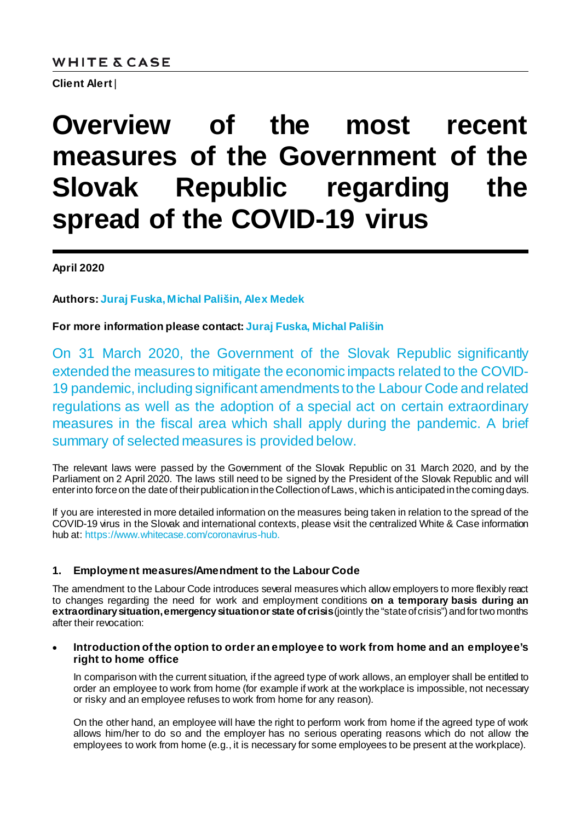# **WHITE & CASE**

**Client Alert**|

# **Overview of the most recent measures of the Government of the Slovak Republic regarding the spread of the COVID-19 virus**

**April 2020**

**Authors: [Juraj Fuska](https://www.whitecase.com/people/juraj-fuska)[, Michal Pališin](https://www.whitecase.com/people/michal-palisin)[, Alex Medek](https://www.whitecase.com/people/alex-medek)**

**For more information please contact: [Juraj Fuska](mailto:jfuska@whitecase.com)[, Michal Pališin](mailto:mpalisin@whitecase.com)**

On 31 March 2020, the Government of the Slovak Republic significantly extended the measures to mitigate the economic impacts related to the COVID-19 pandemic, including significant amendments to the Labour Code and related regulations as well as the adoption of a special act on certain extraordinary measures in the fiscal area which shall apply during the pandemic. A brief summary of selected measures is provided below.

The relevant laws were passed by the Government of the Slovak Republic on 31 March 2020, and by the Parliament on 2 April 2020. The laws still need to be signed by the President of the Slovak Republic and will enter into force on the date of their publication in the Collection of Laws, which is anticipated in the coming days.

If you are interested in more detailed information on the measures being taken in relation to the spread of the COVID-19 virus in the Slovak and international contexts, please visit the centralized White & Case information hub at: [https://www.whitecase.com/coronavirus-hub.](https://www.whitecase.com/coronavirus-hub)

# **1. Employment measures/Amendment to the Labour Code**

The amendment to the Labour Code introduces several measures which allow employers to more flexibly react to changes regarding the need for work and employment conditions **on a temporary basis during an extraordinary situation, emergency situation or state of crisis** (jointly the "state of crisis") and for two months after their revocation:

#### • **Introduction of the option to order an employee to work from home and an employee's right to home office**

In comparison with the current situation, if the agreed type of work allows, an employer shall be entitled to order an employee to work from home (for example if work at the workplace is impossible, not necessary or risky and an employee refuses to work from home for any reason).

On the other hand, an employee will have the right to perform work from home if the agreed type of work allows him/her to do so and the employer has no serious operating reasons which do not allow the employees to work from home (e.g., it is necessary for some employees to be present at the workplace).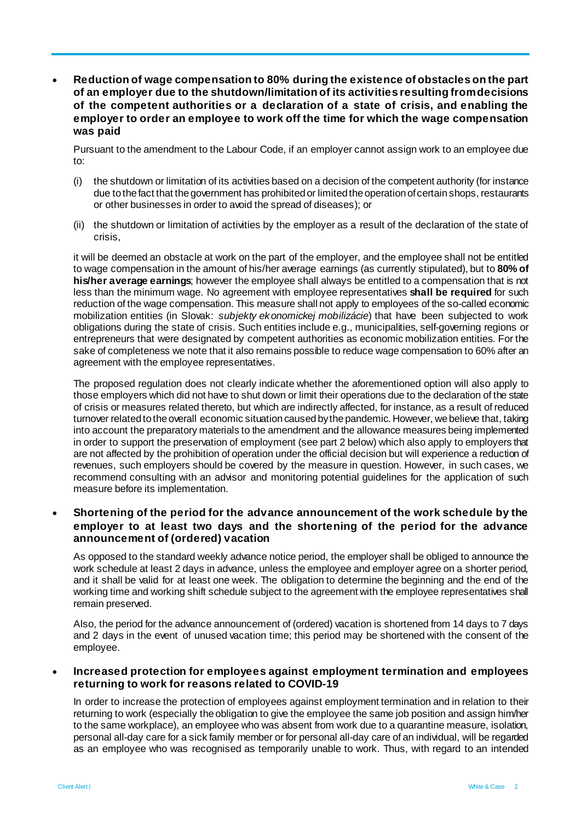• **Reduction of wage compensation to 80% during the existence of obstacles on the part of an employer due to the shutdown/limitation of its activities resulting from decisions of the competent authorities or a declaration of a state of crisis, and enabling the employer to order an employee to work off the time for which the wage compensation was paid** 

Pursuant to the amendment to the Labour Code, if an employer cannot assign work to an employee due to:

- (i) the shutdown or limitation of its activities based on a decision of the competent authority (for instance due to the fact that the government has prohibited or limited the operation of certain shops, restaurants or other businesses in order to avoid the spread of diseases); or
- (ii) the shutdown or limitation of activities by the employer as a result of the declaration of the state of crisis,

it will be deemed an obstacle at work on the part of the employer, and the employee shall not be entitled to wage compensation in the amount of his/her average earnings (as currently stipulated), but to **80% of his/her average earnings**; however the employee shall always be entitled to a compensation that is not less than the minimum wage. No agreement with employee representatives **shall be required** for such reduction of the wage compensation. This measure shall not apply to employees of the so-called economic mobilization entities (in Slovak: *subjekty ekonomickej mobilizácie*) that have been subjected to work obligations during the state of crisis. Such entities include e.g., municipalities, self-governing regions or entrepreneurs that were designated by competent authorities as economic mobilization entities. For the sake of completeness we note that it also remains possible to reduce wage compensation to 60% after an agreement with the employee representatives.

The proposed regulation does not clearly indicate whether the aforementioned option will also apply to those employers which did not have to shut down or limit their operations due to the declaration of the state of crisis or measures related thereto, but which are indirectly affected, for instance, as a result of reduced turnover related to the overall economic situation caused by the pandemic. However, we believe that, taking into account the preparatory materials to the amendment and the allowance measures being implemented in order to support the preservation of employment (see part 2 below) which also apply to employers that are not affected by the prohibition of operation under the official decision but will experience a reduction of revenues, such employers should be covered by the measure in question. However, in such cases, we recommend consulting with an advisor and monitoring potential guidelines for the application of such measure before its implementation.

## • **Shortening of the period for the advance announcement of the work schedule by the employer to at least two days and the shortening of the period for the advance announcement of (ordered) vacation**

As opposed to the standard weekly advance notice period, the employer shall be obliged to announce the work schedule at least 2 days in advance, unless the employee and employer agree on a shorter period, and it shall be valid for at least one week. The obligation to determine the beginning and the end of the working time and working shift schedule subject to the agreement with the employee representatives shall remain preserved.

Also, the period for the advance announcement of (ordered) vacation is shortened from 14 days to 7 days and 2 days in the event of unused vacation time; this period may be shortened with the consent of the employee.

#### • **Increased protection for employees against employment termination and employees returning to work for reasons related to COVID-19**

In order to increase the protection of employees against employment termination and in relation to their returning to work (especially the obligation to give the employee the same job position and assign him/her to the same workplace), an employee who was absent from work due to a quarantine measure, isolation, personal all-day care for a sick family member or for personal all-day care of an individual, will be regarded as an employee who was recognised as temporarily unable to work. Thus, with regard to an intended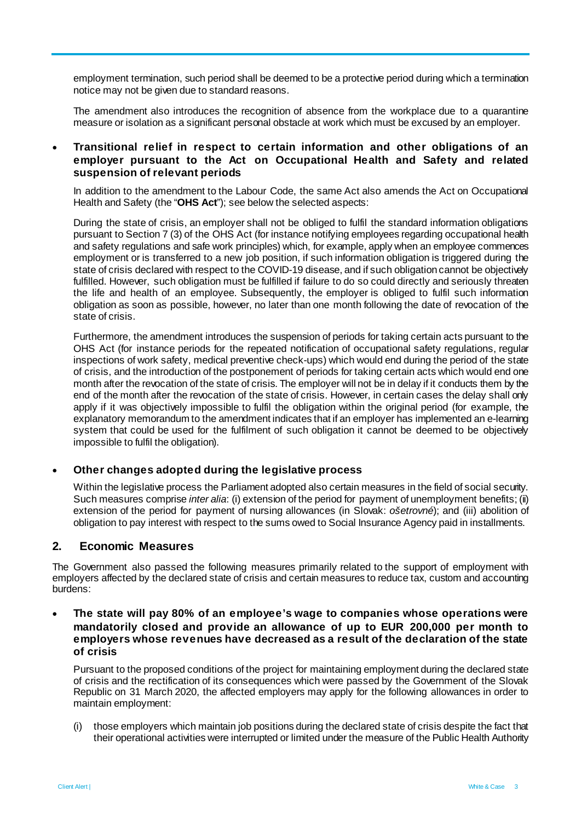employment termination, such period shall be deemed to be a protective period during which a termination notice may not be given due to standard reasons.

The amendment also introduces the recognition of absence from the workplace due to a quarantine measure or isolation as a significant personal obstacle at work which must be excused by an employer.

#### • **Transitional relief in respect to certain information and other obligations of an employer pursuant to the Act on Occupational Health and Safety and related suspension of relevant periods**

In addition to the amendment to the Labour Code, the same Act also amends the Act on Occupational Health and Safety (the "**OHS Act**"); see below the selected aspects:

During the state of crisis, an employer shall not be obliged to fulfil the standard information obligations pursuant to Section 7 (3) of the OHS Act (for instance notifying employees regarding occupational health and safety regulations and safe work principles) which, for example, apply when an employee commences employment or is transferred to a new job position, if such information obligation is triggered during the state of crisis declared with respect to the COVID-19 disease, and if such obligation cannot be objectively fulfilled. However, such obligation must be fulfilled if failure to do so could directly and seriously threaten the life and health of an employee. Subsequently, the employer is obliged to fulfil such information obligation as soon as possible, however, no later than one month following the date of revocation of the state of crisis.

Furthermore, the amendment introduces the suspension of periods for taking certain acts pursuant to the OHS Act (for instance periods for the repeated notification of occupational safety regulations, regular inspections of work safety, medical preventive check-ups) which would end during the period of the state of crisis, and the introduction of the postponement of periods for taking certain acts which would end one month after the revocation of the state of crisis. The employer will not be in delay if it conducts them by the end of the month after the revocation of the state of crisis. However, in certain cases the delay shall only apply if it was objectively impossible to fulfil the obligation within the original period (for example, the explanatory memorandum to the amendment indicates that if an employer has implemented an e-learning system that could be used for the fulfilment of such obligation it cannot be deemed to be objectively impossible to fulfil the obligation).

#### • **Other changes adopted during the legislative process**

Within the legislative process the Parliament adopted also certain measures in the field of social security. Such measures comprise *inter alia*: (i) extension of the period for payment of unemployment benefits; (ii) extension of the period for payment of nursing allowances (in Slovak: *ošetrovné*); and (iii) abolition of obligation to pay interest with respect to the sums owed to Social Insurance Agency paid in installments.

# **2. Economic Measures**

The Government also passed the following measures primarily related to the support of employment with employers affected by the declared state of crisis and certain measures to reduce tax, custom and accounting burdens:

## • **The state will pay 80% of an employee's wage to companies whose operations were mandatorily closed and provide an allowance of up to EUR 200,000 per month to employers whose revenues have decreased as a result of the declaration of the state of crisis**

Pursuant to the proposed conditions of the project for maintaining employment during the declared state of crisis and the rectification of its consequences which were passed by the Government of the Slovak Republic on 31 March 2020, the affected employers may apply for the following allowances in order to maintain employment:

(i) those employers which maintain job positions during the declared state of crisis despite the fact that their operational activities were interrupted or limited under the measure of the Public Health Authority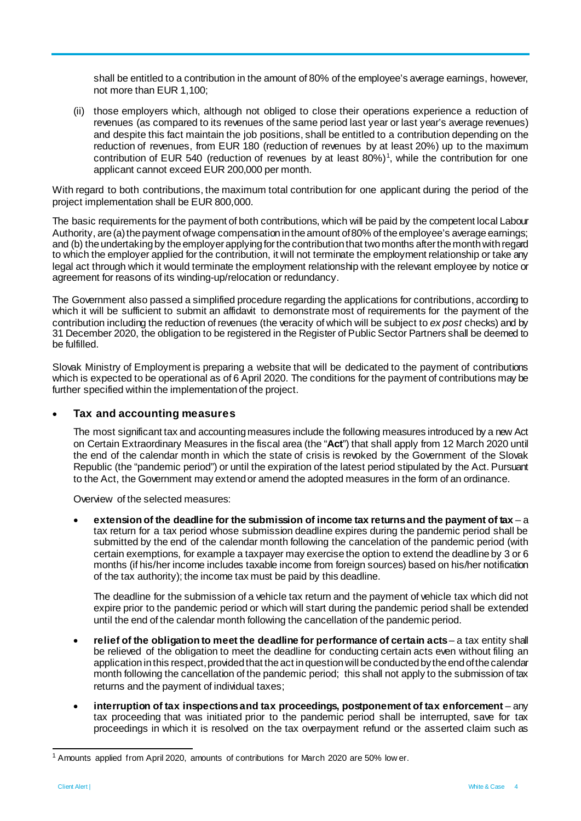shall be entitled to a contribution in the amount of 80% of the employee's average earnings, however, not more than EUR 1,100;

(ii) those employers which, although not obliged to close their operations experience a reduction of revenues (as compared to its revenues of the same period last year or last year's average revenues) and despite this fact maintain the job positions, shall be entitled to a contribution depending on the reduction of revenues, from EUR 180 (reduction of revenues by at least 20%) up to the maximum contribution of EUR 540 (reduction of revenues by at least  $80\%)$ <sup>[1](#page-3-0)</sup>, while the contribution for one applicant cannot exceed EUR 200,000 per month.

With regard to both contributions, the maximum total contribution for one applicant during the period of the project implementation shall be EUR 800,000.

The basic requirements for the payment of both contributions, which will be paid by the competent local Labour Authority, are (a) the payment of wage compensation in the amount of 80% of the employee's average earnings; and (b) the undertaking by the employer applying for the contribution that two months after the month with regard to which the employer applied for the contribution, it will not terminate the employment relationship or take any legal act through which it would terminate the employment relationship with the relevant employee by notice or agreement for reasons of its winding-up/relocation or redundancy.

The Government also passed a simplified procedure regarding the applications for contributions, according to which it will be sufficient to submit an affidavit to demonstrate most of requirements for the payment of the contribution including the reduction of revenues (the veracity of which will be subject to *ex post* checks) and by 31 December 2020, the obligation to be registered in the Register of Public Sector Partners shall be deemed to be fulfilled.

Slovak Ministry of Employment is preparing a website that will be dedicated to the payment of contributions which is expected to be operational as of 6 April 2020. The conditions for the payment of contributions may be further specified within the implementation of the project.

## • **Tax and accounting measures**

The most significant tax and accounting measures include the following measures introduced by a new Act on Certain Extraordinary Measures in the fiscal area (the "**Act**") that shall apply from 12 March 2020 until the end of the calendar month in which the state of crisis is revoked by the Government of the Slovak Republic (the "pandemic period") or until the expiration of the latest period stipulated by the Act. Pursuant to the Act, the Government may extend or amend the adopted measures in the form of an ordinance.

Overview of the selected measures:

• **extension of the deadline for the submission of income tax returns and the payment of tax** – a tax return for a tax period whose submission deadline expires during the pandemic period shall be submitted by the end of the calendar month following the cancelation of the pandemic period (with certain exemptions, for example a taxpayer may exercise the option to extend the deadline by 3 or 6 months (if his/her income includes taxable income from foreign sources) based on his/her notification of the tax authority); the income tax must be paid by this deadline.

The deadline for the submission of a vehicle tax return and the payment of vehicle tax which did not expire prior to the pandemic period or which will start during the pandemic period shall be extended until the end of the calendar month following the cancellation of the pandemic period.

- **relief of the obligation to meet the deadline for performance of certain acts** a tax entity shall be relieved of the obligation to meet the deadline for conducting certain acts even without filing an application in this respect, provided that the act in question will be conducted by the end of the calendar month following the cancellation of the pandemic period; this shall not apply to the submission of tax returns and the payment of individual taxes;
- **interruption of tax inspections and tax proceedings, postponement of tax enforcement**  any tax proceeding that was initiated prior to the pandemic period shall be interrupted, save for tax proceedings in which it is resolved on the tax overpayment refund or the asserted claim such as

<span id="page-3-0"></span> <sup>1</sup> Amounts applied from April 2020, amounts of contributions for March 2020 are 50% low er.